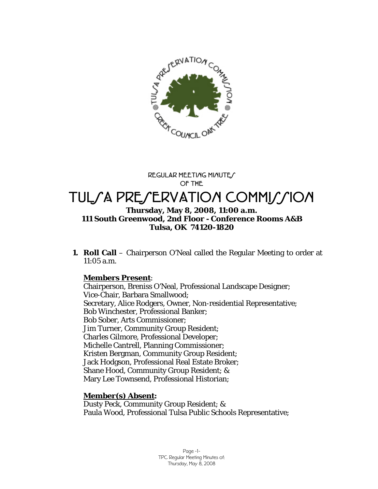

**REGULAR MEETING MINUTES OF THE** 

# TUL*SA PRESERVATION COMMISSION*

### **Thursday, May 8, 2008, 11:00 a.m. 111 South Greenwood, 2nd Floor - Conference Rooms A&B Tulsa, OK 74120-1820**

**1. Roll Call** – Chairperson O'Neal called the Regular Meeting to order at 11:05 a.m.

### **Members Present**:

Chairperson, Breniss O'Neal, Professional Landscape Designer; Vice-Chair, Barbara Smallwood; Secretary, Alice Rodgers, Owner, Non-residential Representative; Bob Winchester, Professional Banker; Bob Sober, Arts Commissioner; Jim Turner, Community Group Resident; Charles Gilmore, Professional Developer; Michelle Cantrell, Planning Commissioner; Kristen Bergman, Community Group Resident; Jack Hodgson, Professional Real Estate Broker; Shane Hood, Community Group Resident; & Mary Lee Townsend, Professional Historian;

# **Member(s) Absent:**

Dusty Peck, Community Group Resident; & Paula Wood, Professional Tulsa Public Schools Representative;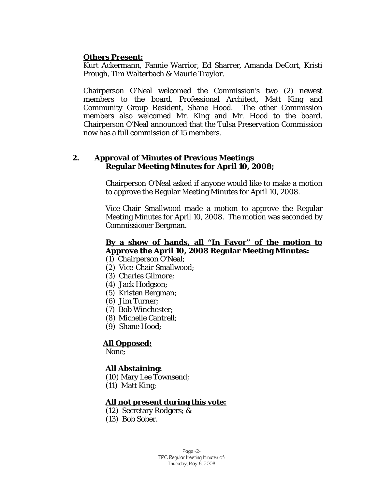### **Others Present:**

Kurt Ackermann, Fannie Warrior, Ed Sharrer, Amanda DeCort, Kristi Prough, Tim Walterbach & Maurie Traylor.

Chairperson O'Neal welcomed the Commission's two (2) newest members to the board, Professional Architect, Matt King and Community Group Resident, Shane Hood. The other Commission members also welcomed Mr. King and Mr. Hood to the board. Chairperson O'Neal announced that the Tulsa Preservation Commission now has a full commission of 15 members.

#### **2. Approval of Minutes of Previous Meetings Regular Meeting Minutes for April 10, 2008;**

Chairperson O'Neal asked if anyone would like to make a motion to approve the Regular Meeting Minutes for April 10, 2008.

Vice-Chair Smallwood made a motion to approve the Regular Meeting Minutes for April 10, 2008. The motion was seconded by Commissioner Bergman.

### **By a show of hands, all "In Favor" of the motion to Approve the April 10, 2008 Regular Meeting Minutes:**

- (1) Chairperson O'Neal;
- (2) Vice-Chair Smallwood;
- (3) Charles Gilmore;
- (4) Jack Hodgson;
- (5) Kristen Bergman;
- (6) Jim Turner;
- (7) Bob Winchester;
- (8) Michelle Cantrell;
- (9) Shane Hood;

#### **All Opposed:**

None;

#### **All Abstaining:**

- (10) Mary Lee Townsend;
- (11) Matt King;

#### **All not present during this vote:**

- (12) Secretary Rodgers; &
- (13) Bob Sober.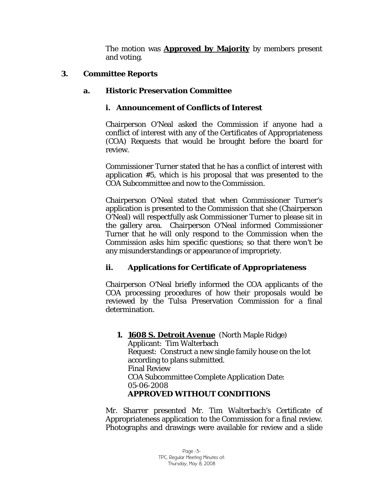The motion was **Approved by Majority** by members present and voting.

# **3. Committee Reports**

# **a. Historic Preservation Committee**

# **i. Announcement of Conflicts of Interest**

Chairperson O'Neal asked the Commission if anyone had a conflict of interest with any of the Certificates of Appropriateness (COA) Requests that would be brought before the board for review.

Commissioner Turner stated that he has a conflict of interest with application #5, which is his proposal that was presented to the COA Subcommittee and now to the Commission.

Chairperson O'Neal stated that when Commissioner Turner's application is presented to the Commission that she (Chairperson O'Neal) will respectfully ask Commissioner Turner to please sit in the gallery area. Chairperson O'Neal informed Commissioner Turner that he will only respond to the Commission when the Commission asks him specific questions; so that there won't be any misunderstandings or appearance of impropriety.

# **ii. Applications for Certificate of Appropriateness**

Chairperson O'Neal briefly informed the COA applicants of the COA processing procedures of how their proposals would be reviewed by the Tulsa Preservation Commission for a final determination.

**1. 1608 S. Detroit Avenue** (North Maple Ridge) Applicant: Tim Walterbach Request: Construct a new single family house on the lot according to plans submitted. Final Review COA Subcommittee Complete Application Date: 05-06-2008 **APPROVED WITHOUT CONDITIONS** 

Mr. Sharrer presented Mr. Tim Walterbach's Certificate of Appropriateness application to the Commission for a final review. Photographs and drawings were available for review and a slide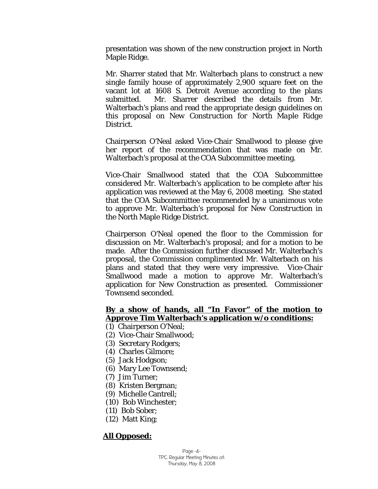presentation was shown of the new construction project in North Maple Ridge.

Mr. Sharrer stated that Mr. Walterbach plans to construct a new single family house of approximately 2,900 square feet on the vacant lot at 1608 S. Detroit Avenue according to the plans submitted. Mr. Sharrer described the details from Mr. Walterbach's plans and read the appropriate design guidelines on this proposal on *New Construction for North Maple Ridge District.* 

Chairperson O'Neal asked Vice-Chair Smallwood to please give her report of the recommendation that was made on Mr. Walterbach's proposal at the COA Subcommittee meeting.

Vice-Chair Smallwood stated that the COA Subcommittee considered Mr. Walterbach's application to be complete after his application was reviewed at the May 6, 2008 meeting. She stated that the COA Subcommittee recommended by a unanimous vote to approve Mr. Walterbach's proposal for *New Construction in*  the North Maple Ridge District.

Chairperson O'Neal opened the floor to the Commission for discussion on Mr. Walterbach's proposal; and for a motion to be made. After the Commission further discussed Mr. Walterbach's proposal, the Commission complimented Mr. Walterbach on his plans and stated that they were very impressive. Vice-Chair Smallwood made a motion to approve Mr. Walterbach's application for New Construction as presented. Commissioner Townsend seconded.

# **By a show of hands, all "In Favor" of the motion to Approve Tim Walterbach's application w/o conditions:**

- (1) Chairperson O'Neal;
- (2) Vice-Chair Smallwood;
- (3) Secretary Rodgers;
- (4) Charles Gilmore;
- (5) Jack Hodgson;
- (6) Mary Lee Townsend;
- (7) Jim Turner;
- (8) Kristen Bergman;
- (9) Michelle Cantrell;
- (10) Bob Winchester;
- (11) Bob Sober;
- (12) Matt King;

### **All Opposed:**

Page -4- TPC Regular Meeting Minutes of: Thursday, May 8, 2008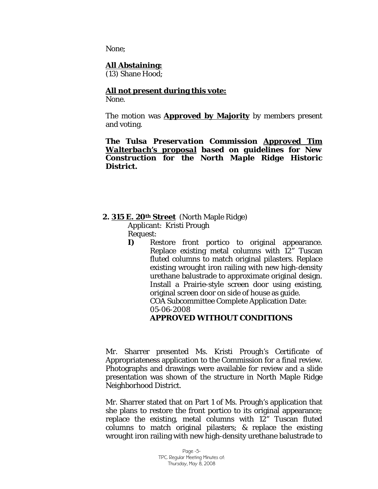None;

### **All Abstaining:**

(13) Shane Hood;

### **All not present during this vote:**

None.

The motion was **Approved by Majority** by members present and voting.

*The Tulsa Preservation Commission Approved Tim Walterbach's proposal based on guidelines for New Construction for the North Maple Ridge Historic District.* 

### **2. 315 E. 20th Street** (North Maple Ridge)

Applicant: Kristi Prough

Request:

**I)** Restore front portico to original appearance. Replace existing metal columns with 12" Tuscan fluted columns to match original pilasters. Replace existing wrought iron railing with new high-density urethane balustrade to approximate original design. Install a Prairie-style screen door using existing, original screen door on side of house as guide. COA Subcommittee Complete Application Date: 05-06-2008 **APPROVED WITHOUT CONDITIONS** 

Mr. Sharrer presented Ms. Kristi Prough's Certificate of Appropriateness application to the Commission for a final review. Photographs and drawings were available for review and a slide presentation was shown of the structure in North Maple Ridge Neighborhood District.

Mr. Sharrer stated that on Part 1 of Ms. Prough's application that she plans to restore the front portico to its original appearance; replace the existing, metal columns with 12" Tuscan fluted columns to match original pilasters; & replace the existing wrought iron railing with new high-density urethane balustrade to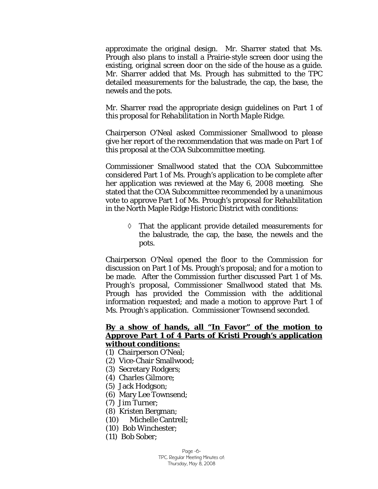approximate the original design. Mr. Sharrer stated that Ms. Prough also plans to install a Prairie-style screen door using the existing, original screen door on the side of the house as a guide. Mr. Sharrer added that Ms. Prough has submitted to the TPC detailed measurements for the balustrade, the cap, the base, the newels and the pots.

Mr. Sharrer read the appropriate design guidelines on Part 1 of this proposal for *Rehabilitation in North Maple Ridge.* 

Chairperson O'Neal asked Commissioner Smallwood to please give her report of the recommendation that was made on Part 1 of this proposal at the COA Subcommittee meeting.

Commissioner Smallwood stated that the COA Subcommittee considered Part 1 of Ms. Prough's application to be complete after her application was reviewed at the May 6, 2008 meeting. She stated that the COA Subcommittee recommended by a unanimous vote to approve Part 1 of Ms. Prough's proposal for *Rehabilitation*  in the North Maple Ridge Historic District with conditions:

> ◊ That the applicant provide detailed measurements for the balustrade, the cap, the base, the newels and the pots.

Chairperson O'Neal opened the floor to the Commission for discussion on Part 1 of Ms. Prough's proposal; and for a motion to be made. After the Commission further discussed Part 1 of Ms. Prough's proposal, Commissioner Smallwood stated that Ms. Prough has provided the Commission with the additional information requested; and made a motion to approve Part 1 of Ms. Prough's application. Commissioner Townsend seconded.

#### **By a show of hands, all "In Favor" of the motion to Approve Part 1 of 4 Parts of Kristi Prough's application without conditions:**

- (1) Chairperson O'Neal;
- (2) Vice-Chair Smallwood;
- (3) Secretary Rodgers;
- (4) Charles Gilmore;
- (5) Jack Hodgson;
- (6) Mary Lee Townsend;
- (7) Jim Turner;
- (8) Kristen Bergman;
- (10) Michelle Cantrell;
- (10) Bob Winchester;
- (11) Bob Sober;

Page -6- TPC Regular Meeting Minutes of: Thursday, May 8, 2008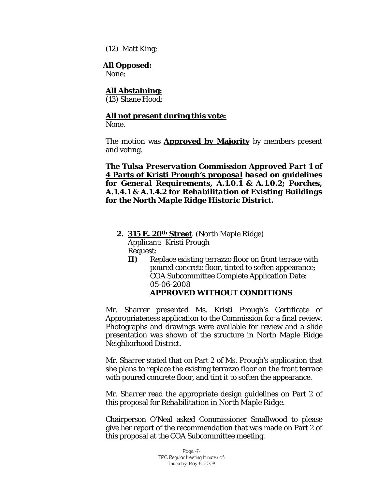(12) Matt King;

#### **All Opposed:**

None;

# **All Abstaining:**

(13) Shane Hood;

# **All not present during this vote:**

None.

The motion was **Approved by Majority** by members present and voting.

*The Tulsa Preservation Commission Approved Part 1 of 4 Parts of Kristi Prough's proposal based on guidelines for General Requirements, A.1.0.1 & A.1.0.2; Porches, A.1.4.1 & A.1.4.2 for Rehabilitation of Existing Buildings for the North Maple Ridge Historic District.* 

- **2. 315 E. 20th Street** (North Maple Ridge) Applicant: Kristi Prough Request:
	- **II)** Replace existing terrazzo floor on front terrace with poured concrete floor, tinted to soften appearance; COA Subcommittee Complete Application Date: 05-06-2008 **APPROVED WITHOUT CONDITIONS**

Mr. Sharrer presented Ms. Kristi Prough's Certificate of Appropriateness application to the Commission for a final review. Photographs and drawings were available for review and a slide presentation was shown of the structure in North Maple Ridge Neighborhood District.

Mr. Sharrer stated that on Part 2 of Ms. Prough's application that she plans to replace the existing terrazzo floor on the front terrace with poured concrete floor, and tint it to soften the appearance.

Mr. Sharrer read the appropriate design guidelines on Part 2 of this proposal for *Rehabilitation in North Maple Ridge.* 

Chairperson O'Neal asked Commissioner Smallwood to please give her report of the recommendation that was made on Part 2 of this proposal at the COA Subcommittee meeting.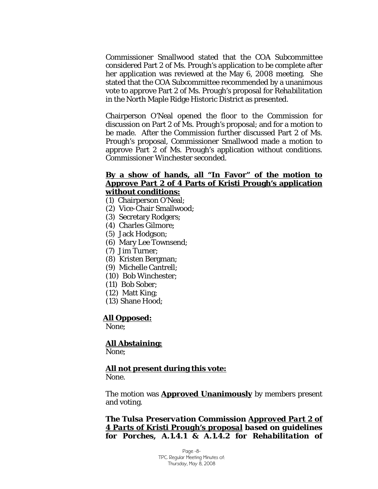Commissioner Smallwood stated that the COA Subcommittee considered Part 2 of Ms. Prough's application to be complete after her application was reviewed at the May 6, 2008 meeting. She stated that the COA Subcommittee recommended by a unanimous vote to approve Part 2 of Ms. Prough's proposal for *Rehabilitation*  in the North Maple Ridge Historic District as presented.

Chairperson O'Neal opened the floor to the Commission for discussion on Part 2 of Ms. Prough's proposal; and for a motion to be made. After the Commission further discussed Part 2 of Ms. Prough's proposal, Commissioner Smallwood made a motion to approve Part 2 of Ms. Prough's application without conditions. Commissioner Winchester seconded.

#### **By a show of hands, all "In Favor" of the motion to Approve Part 2 of 4 Parts of Kristi Prough's application without conditions:**

# (1) Chairperson O'Neal;

- (2) Vice-Chair Smallwood;
- (3) Secretary Rodgers;
- (4) Charles Gilmore;
- (5) Jack Hodgson;
- (6) Mary Lee Townsend;
- (7) Jim Turner;
- (8) Kristen Bergman;
- (9) Michelle Cantrell;
- (10) Bob Winchester;
- (11) Bob Sober;
- (12) Matt King;
- (13) Shane Hood;

#### **All Opposed:**

None;

 **All Abstaining:** None;

#### **All not present during this vote:**

None.

The motion was **Approved Unanimously** by members present and voting.

*The Tulsa Preservation Commission Approved Part 2 of 4 Parts of Kristi Prough's proposal based on guidelines for Porches, A.1.4.1 & A.1.4.2 for Rehabilitation of* 

> Page -8- TPC Regular Meeting Minutes of: Thursday, May 8, 2008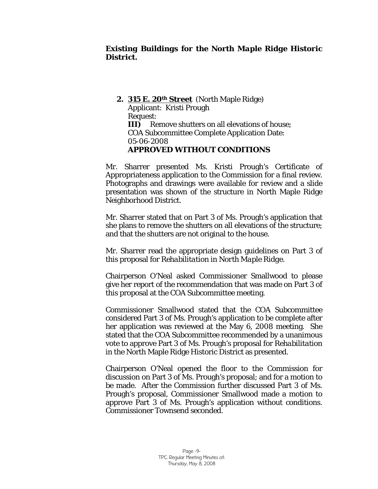# *Existing Buildings for the North Maple Ridge Historic District.*

**2. 315 E. 20th Street** (North Maple Ridge) Applicant: Kristi Prough Request: **III)** Remove shutters on all elevations of house; COA Subcommittee Complete Application Date: 05-06-2008  **APPROVED WITHOUT CONDITIONS**

Mr. Sharrer presented Ms. Kristi Prough's Certificate of Appropriateness application to the Commission for a final review. Photographs and drawings were available for review and a slide presentation was shown of the structure in North Maple Ridge Neighborhood District.

Mr. Sharrer stated that on Part 3 of Ms. Prough's application that she plans to remove the shutters on all elevations of the structure; and that the shutters are not original to the house.

Mr. Sharrer read the appropriate design guidelines on Part 3 of this proposal for *Rehabilitation in North Maple Ridge.* 

Chairperson O'Neal asked Commissioner Smallwood to please give her report of the recommendation that was made on Part 3 of this proposal at the COA Subcommittee meeting.

Commissioner Smallwood stated that the COA Subcommittee considered Part 3 of Ms. Prough's application to be complete after her application was reviewed at the May 6, 2008 meeting. She stated that the COA Subcommittee recommended by a unanimous vote to approve Part 3 of Ms. Prough's proposal for *Rehabilitation*  in the North Maple Ridge Historic District as presented.

Chairperson O'Neal opened the floor to the Commission for discussion on Part 3 of Ms. Prough's proposal; and for a motion to be made. After the Commission further discussed Part 3 of Ms. Prough's proposal, Commissioner Smallwood made a motion to approve Part 3 of Ms. Prough's application without conditions. Commissioner Townsend seconded.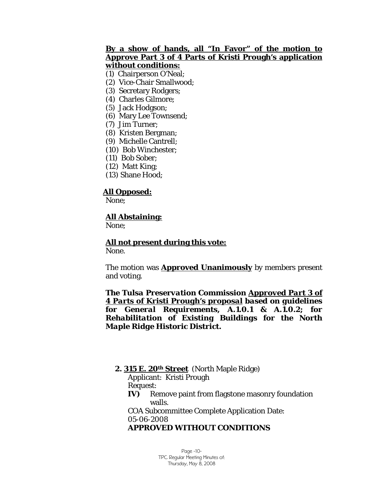### **By a show of hands, all "In Favor" of the motion to Approve Part 3 of 4 Parts of Kristi Prough's application without conditions:**

(1) Chairperson O'Neal;

- (2) Vice-Chair Smallwood;
- (3) Secretary Rodgers;
- (4) Charles Gilmore;
- (5) Jack Hodgson;
- (6) Mary Lee Townsend;
- (7) Jim Turner;
- (8) Kristen Bergman;
- (9) Michelle Cantrell;
- (10) Bob Winchester;
- (11) Bob Sober;
- (12) Matt King;
- (13) Shane Hood;

### **All Opposed:**

None;

#### **All Abstaining:**

None;

**All not present during this vote:**

None.

The motion was **Approved Unanimously** by members present and voting.

*The Tulsa Preservation Commission Approved Part 3 of 4 Parts of Kristi Prough's proposal based on guidelines for General Requirements, A.1.0.1 & A.1.0.2; for Rehabilitation of Existing Buildings for the North Maple Ridge Historic District.* 

 **2. 315 E. 20th Street** (North Maple Ridge)

Applicant: Kristi Prough

Request:

**IV)** Remove paint from flagstone masonry foundation walls.

 COA Subcommittee Complete Application Date: 05-06-2008

#### **APPROVED WITHOUT CONDITIONS**

Page -10- TPC Regular Meeting Minutes of: Thursday, May 8, 2008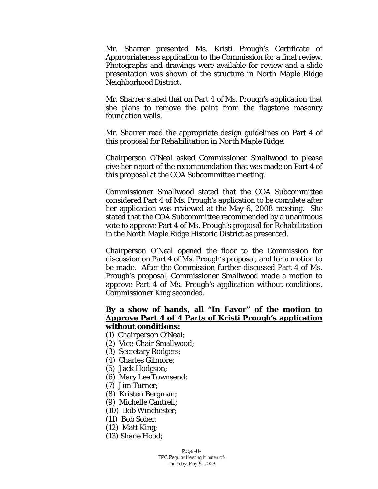Mr. Sharrer presented Ms. Kristi Prough's Certificate of Appropriateness application to the Commission for a final review. Photographs and drawings were available for review and a slide presentation was shown of the structure in North Maple Ridge Neighborhood District.

Mr. Sharrer stated that on Part 4 of Ms. Prough's application that she plans to remove the paint from the flagstone masonry foundation walls.

Mr. Sharrer read the appropriate design guidelines on Part 4 of this proposal for *Rehabilitation in North Maple Ridge.* 

Chairperson O'Neal asked Commissioner Smallwood to please give her report of the recommendation that was made on Part 4 of this proposal at the COA Subcommittee meeting.

Commissioner Smallwood stated that the COA Subcommittee considered Part 4 of Ms. Prough's application to be complete after her application was reviewed at the May 6, 2008 meeting. She stated that the COA Subcommittee recommended by a unanimous vote to approve Part 4 of Ms. Prough's proposal for *Rehabilitation*  in the North Maple Ridge Historic District as presented.

Chairperson O'Neal opened the floor to the Commission for discussion on Part 4 of Ms. Prough's proposal; and for a motion to be made. After the Commission further discussed Part 4 of Ms. Prough's proposal, Commissioner Smallwood made a motion to approve Part 4 of Ms. Prough's application without conditions. Commissioner King seconded.

### **By a show of hands, all "In Favor" of the motion to Approve Part 4 of 4 Parts of Kristi Prough's application without conditions:**

- (1) Chairperson O'Neal;
- (2) Vice-Chair Smallwood;
- (3) Secretary Rodgers;
- (4) Charles Gilmore;
- (5) Jack Hodgson;
- (6) Mary Lee Townsend;
- (7) Jim Turner;
- (8) Kristen Bergman;
- (9) Michelle Cantrell;
- (10) Bob Winchester;
- (11) Bob Sober;
- (12) Matt King;
- (13) Shane Hood;

Page -11- TPC Regular Meeting Minutes of: Thursday, May 8, 2008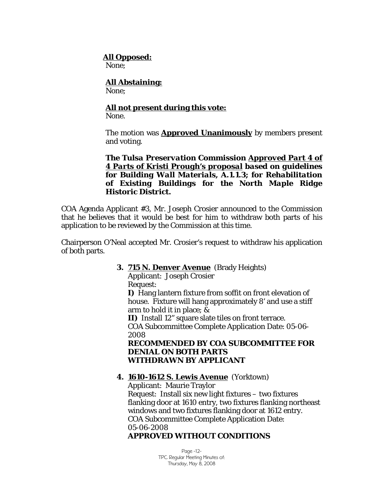#### **All Opposed:**

None;

# **All Abstaining:**

None;

# **All not present during this vote:**

None.

The motion was **Approved Unanimously** by members present and voting.

*The Tulsa Preservation Commission Approved Part 4 of 4 Parts of Kristi Prough's proposal based on guidelines for Building Wall Materials, A.1.1.3; for Rehabilitation of Existing Buildings for the North Maple Ridge Historic District.* 

COA Agenda Applicant #3, Mr. Joseph Crosier announced to the Commission that he believes that it would be best for him to withdraw both parts of his application to be reviewed by the Commission at this time.

Chairperson O'Neal accepted Mr. Crosier's request to withdraw his application of both parts.

### **3. 715 N. Denver Avenue** (Brady Heights)

Applicant: Joseph Crosier Request:

**I)** Hang lantern fixture from soffit on front elevation of house. Fixture will hang approximately 8' and use a stiff arm to hold it in place; &

**II)** Install 12" square slate tiles on front terrace. COA Subcommittee Complete Application Date: 05-06- 2008

# **RECOMMENDED BY COA SUBCOMMITTEE FOR DENIAL ON BOTH PARTS WITHDRAWN BY APPLICANT**

# **4. 1610-1612 S. Lewis Avenue** (Yorktown)

Applicant: Maurie Traylor Request: Install six new light fixtures – two fixtures flanking door at 1610 entry, two fixtures flanking northeast windows and two fixtures flanking door at 1612 entry. COA Subcommittee Complete Application Date: 05-06-2008

# **APPROVED WITHOUT CONDITIONS**

Page -12- TPC Regular Meeting Minutes of: Thursday, May 8, 2008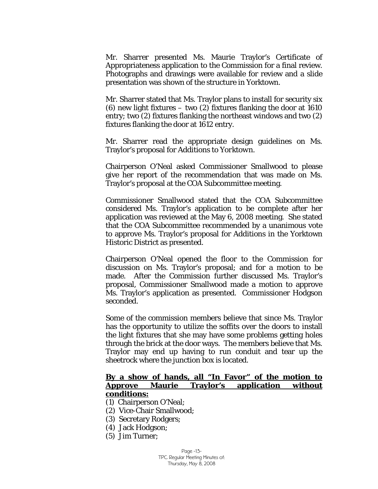Mr. Sharrer presented Ms. Maurie Traylor's Certificate of Appropriateness application to the Commission for a final review. Photographs and drawings were available for review and a slide presentation was shown of the structure in Yorktown.

Mr. Sharrer stated that Ms. Traylor plans to install for security six (6) new light fixtures – two (2) fixtures flanking the door at 1610 entry; two (2) fixtures flanking the northeast windows and two (2) fixtures flanking the door at 1612 entry.

Mr. Sharrer read the appropriate design guidelines on Ms. Traylor's proposal for *Additions to Yorktown.* 

Chairperson O'Neal asked Commissioner Smallwood to please give her report of the recommendation that was made on Ms. Traylor's proposal at the COA Subcommittee meeting.

Commissioner Smallwood stated that the COA Subcommittee considered Ms. Traylor's application to be complete after her application was reviewed at the May 6, 2008 meeting. She stated that the COA Subcommittee recommended by a unanimous vote to approve Ms. Traylor's proposal for *Additions* in the Yorktown Historic District as presented.

Chairperson O'Neal opened the floor to the Commission for discussion on Ms. Traylor's proposal; and for a motion to be made. After the Commission further discussed Ms. Traylor's proposal, Commissioner Smallwood made a motion to approve Ms. Traylor's application as presented. Commissioner Hodgson seconded.

Some of the commission members believe that since Ms. Traylor has the opportunity to utilize the soffits over the doors to install the light fixtures that she may have some problems getting holes through the brick at the door ways. The members believe that Ms. Traylor may end up having to run conduit and tear up the sheetrock where the junction box is located.

#### **By a show of hands, all "In Favor" of the motion to Approve Maurie Traylor's application without conditions:**

- (1) Chairperson O'Neal;
- (2) Vice-Chair Smallwood;
- (3) Secretary Rodgers;
- (4) Jack Hodgson;
- (5) Jim Turner;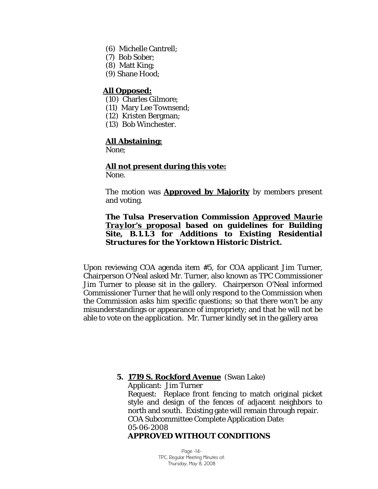- (6) Michelle Cantrell;
- (7) Bob Sober;
- (8) Matt King;
- (9) Shane Hood;

### **All Opposed:**

- (10) Charles Gilmore;
- (11) Mary Lee Townsend;
- (12) Kristen Bergman;
- (13) Bob Winchester.

#### **All Abstaining:**

None;

# **All not present during this vote:**

None.

The motion was **Approved by Majority** by members present and voting.

### *The Tulsa Preservation Commission Approved Maurie Traylor's proposal based on guidelines for Building Site, B.1.1.3 for Additions to Existing Residential Structures for the Yorktown Historic District.*

Upon reviewing COA agenda item #5, for COA applicant Jim Turner, Chairperson O'Neal asked Mr. Turner, also known as TPC Commissioner Jim Turner to please sit in the gallery. Chairperson O'Neal informed Commissioner Turner that he will only respond to the Commission when the Commission asks him specific questions; so that there won't be any misunderstandings or appearance of impropriety; and that he will not be able to vote on the application. Mr. Turner kindly set in the gallery area

> **5. 1719 S. Rockford Avenue** (Swan Lake) Applicant: Jim Turner Request: Replace front fencing to match original picket style and design of the fences of adjacent neighbors to north and south. Existing gate will remain through repair. COA Subcommittee Complete Application Date: 05-06-2008 **APPROVED WITHOUT CONDITIONS**

#### Page -14- TPC Regular Meeting Minutes of: Thursday, May 8, 2008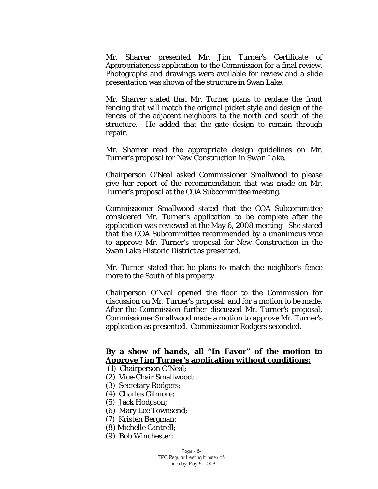Mr. Sharrer presented Mr. Jim Turner's Certificate of Appropriateness application to the Commission for a final review. Photographs and drawings were available for review and a slide presentation was shown of the structure in Swan Lake.

Mr. Sharrer stated that Mr. Turner plans to replace the front fencing that will match the original picket style and design of the fences of the adjacent neighbors to the north and south of the structure. He added that the gate design to remain through repair.

Mr. Sharrer read the appropriate design guidelines on Mr. Turner's proposal for *New Construction in Swan Lake.* 

Chairperson O'Neal asked Commissioner Smallwood to please give her report of the recommendation that was made on Mr. Turner's proposal at the COA Subcommittee meeting.

Commissioner Smallwood stated that the COA Subcommittee considered Mr. Turner's application to be complete after the application was reviewed at the May 6, 2008 meeting. She stated that the COA Subcommittee recommended by a unanimous vote to approve Mr. Turner's proposal for *New Construction* in the Swan Lake Historic District as presented.

Mr. Turner stated that he plans to match the neighbor's fence more to the South of his property.

Chairperson O'Neal opened the floor to the Commission for discussion on Mr. Turner's proposal; and for a motion to be made. After the Commission further discussed Mr. Turner's proposal, Commissioner Smallwood made a motion to approve Mr. Turner's application as presented. Commissioner Rodgers seconded.

# **By a show of hands, all "In Favor" of the motion to Approve Jim Turner's application without conditions:**

- (1) Chairperson O'Neal;
- (2) Vice-Chair Smallwood;
- (3) Secretary Rodgers;
- (4) Charles Gilmore;
- (5) Jack Hodgson;
- (6) Mary Lee Townsend;
- (7) Kristen Bergman;
- (8) Michelle Cantrell;
- (9) Bob Winchester;

Page -15- TPC Regular Meeting Minutes of: Thursday, May 8, 2008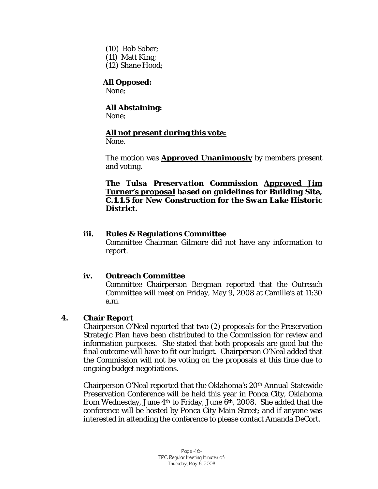- (10) Bob Sober;
- (11) Matt King;
- (12) Shane Hood;

# **All Opposed:**

None;

# **All Abstaining:**

None;

# **All not present during this vote:**

None.

The motion was **Approved Unanimously** by members present and voting.

*The Tulsa Preservation Commission Approved Jim Turner's proposal based on guidelines for Building Site, C.1.1.5 for New Construction for the Swan Lake Historic District.* 

# **iii. Rules & Regulations Committee**

Committee Chairman Gilmore did not have any information to report.

# **iv. Outreach Committee**

Committee Chairperson Bergman reported that the Outreach Committee will meet on Friday, May 9, 2008 at Camille's at 11:30 a.m.

# **4. Chair Report**

Chairperson O'Neal reported that two (2) proposals for the Preservation Strategic Plan have been distributed to the Commission for review and information purposes. She stated that both proposals are good but the final outcome will have to fit our budget. Chairperson O'Neal added that the Commission will not be voting on the proposals at this time due to ongoing budget negotiations.

Chairperson O'Neal reported that the Oklahoma's 20th Annual Statewide Preservation Conference will be held this year in Ponca City, Oklahoma from Wednesday, June  $4<sup>th</sup>$  to Friday, June  $6<sup>th</sup>$ , 2008. She added that the conference will be hosted by Ponca City Main Street; and if anyone was interested in attending the conference to please contact Amanda DeCort.